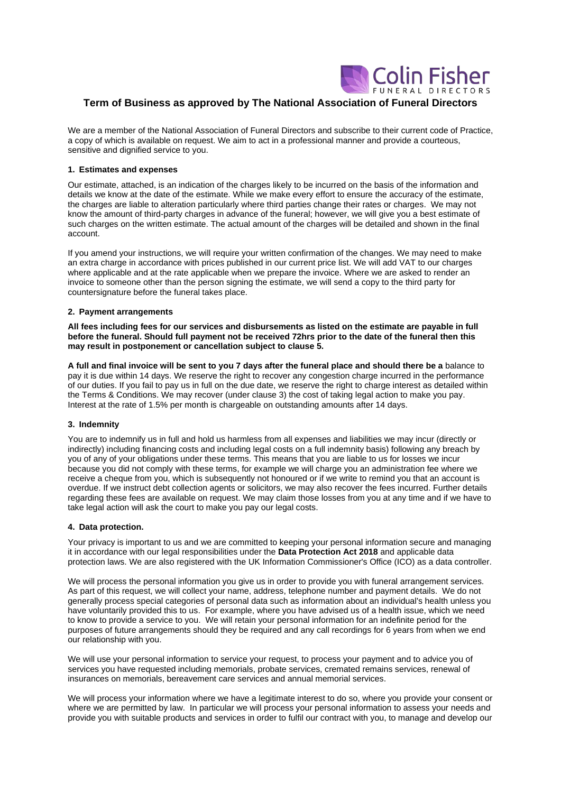

# **Term of Business as approved by The National Association of Funeral Directors**

We are a member of the National Association of Funeral Directors and subscribe to their current code of Practice. a copy of which is available on request. We aim to act in a professional manner and provide a courteous, sensitive and dignified service to you.

# **1. Estimates and expenses**

Our estimate, attached, is an indication of the charges likely to be incurred on the basis of the information and details we know at the date of the estimate. While we make every effort to ensure the accuracy of the estimate, the charges are liable to alteration particularly where third parties change their rates or charges. We may not know the amount of third-party charges in advance of the funeral; however, we will give you a best estimate of such charges on the written estimate. The actual amount of the charges will be detailed and shown in the final account.

If you amend your instructions, we will require your written confirmation of the changes. We may need to make an extra charge in accordance with prices published in our current price list. We will add VAT to our charges where applicable and at the rate applicable when we prepare the invoice. Where we are asked to render an invoice to someone other than the person signing the estimate, we will send a copy to the third party for countersignature before the funeral takes place.

## **2. Payment arrangements**

**All fees including fees for our services and disbursements as listed on the estimate are payable in full before the funeral. Should full payment not be received 72hrs prior to the date of the funeral then this may result in postponement or cancellation subject to clause 5.**

**A full and final invoice will be sent to you 7 days after the funeral place and should there be a** balance to pay it is due within 14 days. We reserve the right to recover any congestion charge incurred in the performance of our duties. If you fail to pay us in full on the due date, we reserve the right to charge interest as detailed within the Terms & Conditions. We may recover (under clause 3) the cost of taking legal action to make you pay. Interest at the rate of 1.5% per month is chargeable on outstanding amounts after 14 days.

## **3. Indemnity**

You are to indemnify us in full and hold us harmless from all expenses and liabilities we may incur (directly or indirectly) including financing costs and including legal costs on a full indemnity basis) following any breach by you of any of your obligations under these terms. This means that you are liable to us for losses we incur because you did not comply with these terms, for example we will charge you an administration fee where we receive a cheque from you, which is subsequently not honoured or if we write to remind you that an account is overdue. If we instruct debt collection agents or solicitors, we may also recover the fees incurred. Further details regarding these fees are available on request. We may claim those losses from you at any time and if we have to take legal action will ask the court to make you pay our legal costs.

## **4. Data protection.**

Your privacy is important to us and we are committed to keeping your personal information secure and managing it in accordance with our legal responsibilities under the **Data Protection Act 2018** and applicable data protection laws. We are also registered with the UK Information Commissioner's Office (ICO) as a data controller.

We will process the personal information you give us in order to provide you with funeral arrangement services. As part of this request, we will collect your name, address, telephone number and payment details. We do not generally process special categories of personal data such as information about an individual's health unless you have voluntarily provided this to us. For example, where you have advised us of a health issue, which we need to know to provide a service to you. We will retain your personal information for an indefinite period for the purposes of future arrangements should they be required and any call recordings for 6 years from when we end our relationship with you.

We will use your personal information to service your request, to process your payment and to advice you of services you have requested including memorials, probate services, cremated remains services, renewal of insurances on memorials, bereavement care services and annual memorial services.

We will process your information where we have a legitimate interest to do so, where you provide your consent or where we are permitted by law. In particular we will process your personal information to assess your needs and provide you with suitable products and services in order to fulfil our contract with you, to manage and develop our